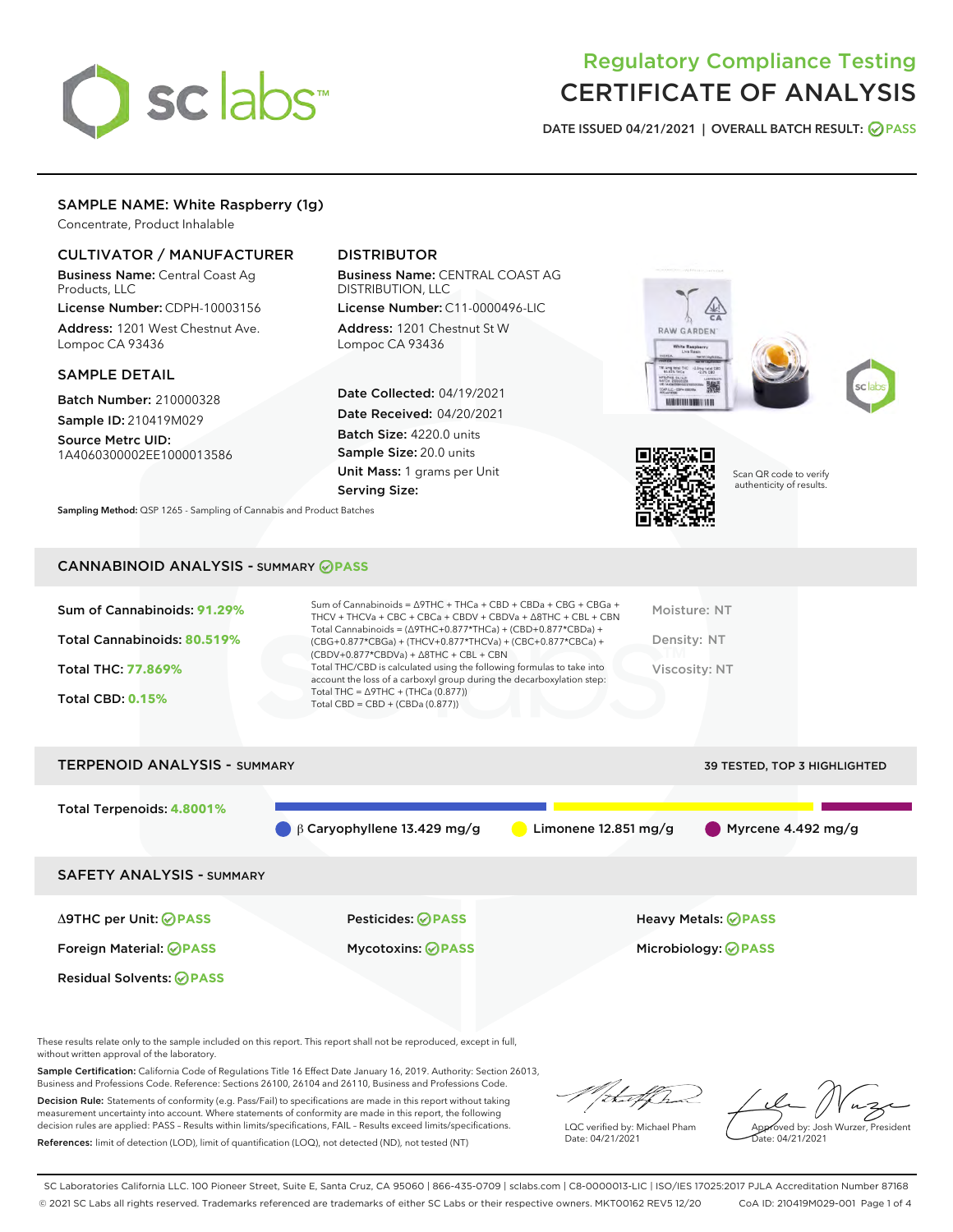# sclabs

### Regulatory Compliance Testing CERTIFICATE OF ANALYSIS

DATE ISSUED 04/21/2021 | OVERALL BATCH RESULT: @ PASS

#### SAMPLE NAME: White Raspberry (1g)

Concentrate, Product Inhalable

#### CULTIVATOR / MANUFACTURER

Business Name: Central Coast Ag Products, LLC

License Number: CDPH-10003156 Address: 1201 West Chestnut Ave. Lompoc CA 93436

#### SAMPLE DETAIL

Batch Number: 210000328 Sample ID: 210419M029

Source Metrc UID: 1A4060300002EE1000013586

#### DISTRIBUTOR

Business Name: CENTRAL COAST AG DISTRIBUTION, LLC

License Number: C11-0000496-LIC Address: 1201 Chestnut St W Lompoc CA 93436

Date Collected: 04/19/2021 Date Received: 04/20/2021 Batch Size: 4220.0 units Sample Size: 20.0 units Unit Mass: 1 grams per Unit Serving Size:

Sampling Method: QSP 1265 - Sampling of Cannabis and Product Batches

## RAW GARDEN **VEHICULUMENT VEHI**





Scan QR code to verify authenticity of results.

#### CANNABINOID ANALYSIS - SUMMARY **PASS**

| Sum of Cannabinoids: 91.29%<br>Total Cannabinoids: 80.519%<br><b>Total THC: 77.869%</b><br><b>Total CBD: 0.15%</b> | Sum of Cannabinoids = $\triangle$ 9THC + THCa + CBD + CBDa + CBG + CBGa +<br>THCV + THCVa + CBC + CBCa + CBDV + CBDVa + $\triangle$ 8THC + CBL + CBN<br>Total Cannabinoids = $(\Delta$ 9THC+0.877*THCa) + (CBD+0.877*CBDa) +<br>(CBG+0.877*CBGa) + (THCV+0.877*THCVa) + (CBC+0.877*CBCa) +<br>$(CBDV+0.877*CBDVa) + \Delta 8THC + CBL + CBN$<br>Total THC/CBD is calculated using the following formulas to take into<br>account the loss of a carboxyl group during the decarboxylation step:<br>Total THC = $\triangle$ 9THC + (THCa (0.877))<br>Total CBD = $CBD + (CBDa (0.877))$ | Moisture: NT<br>Density: NT<br>Viscosity: NT |
|--------------------------------------------------------------------------------------------------------------------|---------------------------------------------------------------------------------------------------------------------------------------------------------------------------------------------------------------------------------------------------------------------------------------------------------------------------------------------------------------------------------------------------------------------------------------------------------------------------------------------------------------------------------------------------------------------------------------|----------------------------------------------|
| <b>TERPENOID ANALYSIS - SUMMARY</b>                                                                                |                                                                                                                                                                                                                                                                                                                                                                                                                                                                                                                                                                                       | <b>39 TESTED, TOP 3 HIGHLIGHTED</b>          |



These results relate only to the sample included on this report. This report shall not be reproduced, except in full, without written approval of the laboratory.

Sample Certification: California Code of Regulations Title 16 Effect Date January 16, 2019. Authority: Section 26013, Business and Professions Code. Reference: Sections 26100, 26104 and 26110, Business and Professions Code.

Decision Rule: Statements of conformity (e.g. Pass/Fail) to specifications are made in this report without taking measurement uncertainty into account. Where statements of conformity are made in this report, the following decision rules are applied: PASS – Results within limits/specifications, FAIL – Results exceed limits/specifications. References: limit of detection (LOD), limit of quantification (LOQ), not detected (ND), not tested (NT)

:t=4fh

LQC verified by: Michael Pham Date: 04/21/2021

Approved by: Josh Wurzer, President ate: 04/21/2021

SC Laboratories California LLC. 100 Pioneer Street, Suite E, Santa Cruz, CA 95060 | 866-435-0709 | sclabs.com | C8-0000013-LIC | ISO/IES 17025:2017 PJLA Accreditation Number 87168 © 2021 SC Labs all rights reserved. Trademarks referenced are trademarks of either SC Labs or their respective owners. MKT00162 REV5 12/20 CoA ID: 210419M029-001 Page 1 of 4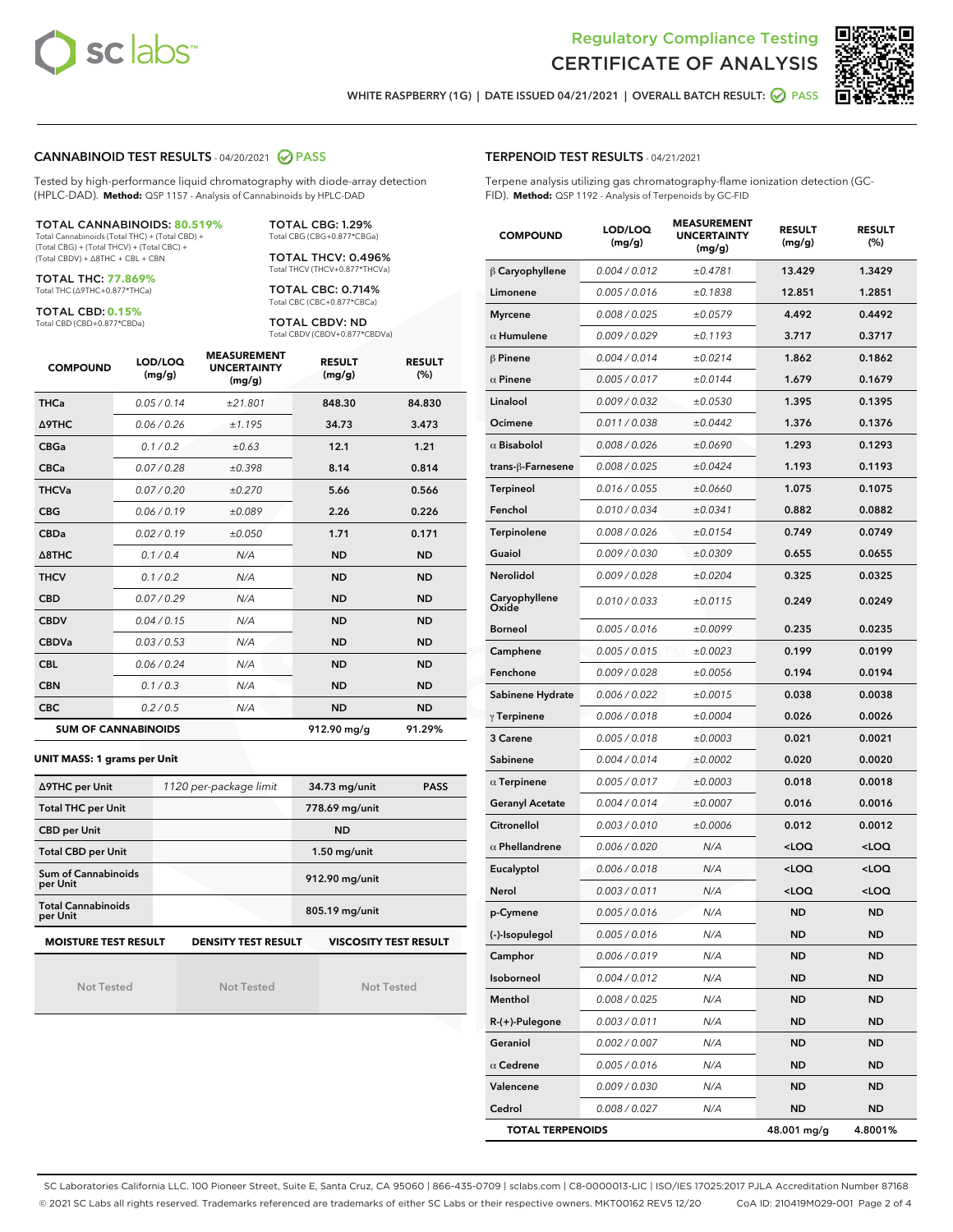



WHITE RASPBERRY (1G) | DATE ISSUED 04/21/2021 | OVERALL BATCH RESULT:  $\bigcirc$  PASS

#### CANNABINOID TEST RESULTS - 04/20/2021 2 PASS

Tested by high-performance liquid chromatography with diode-array detection (HPLC-DAD). **Method:** QSP 1157 - Analysis of Cannabinoids by HPLC-DAD

#### TOTAL CANNABINOIDS: **80.519%**

Total Cannabinoids (Total THC) + (Total CBD) + (Total CBG) + (Total THCV) + (Total CBC) + (Total CBDV) + ∆8THC + CBL + CBN

TOTAL THC: **77.869%** Total THC (∆9THC+0.877\*THCa)

TOTAL CBD: **0.15%**

Total CBD (CBD+0.877\*CBDa)

TOTAL CBG: 1.29% Total CBG (CBG+0.877\*CBGa)

TOTAL THCV: 0.496% Total THCV (THCV+0.877\*THCVa)

TOTAL CBC: 0.714% Total CBC (CBC+0.877\*CBCa)

TOTAL CBDV: ND Total CBDV (CBDV+0.877\*CBDVa)

| <b>COMPOUND</b>            | LOD/LOQ<br>(mg/g) | <b>MEASUREMENT</b><br><b>UNCERTAINTY</b><br>(mg/g) | <b>RESULT</b><br>(mg/g) | <b>RESULT</b><br>(%) |
|----------------------------|-------------------|----------------------------------------------------|-------------------------|----------------------|
| <b>THCa</b>                | 0.05/0.14         | ±21.801                                            | 848.30                  | 84.830               |
| <b>A9THC</b>               | 0.06 / 0.26       | ±1.195                                             | 34.73                   | 3.473                |
| <b>CBGa</b>                | 0.1/0.2           | ±0.63                                              | 12.1                    | 1.21                 |
| <b>CBCa</b>                | 0.07/0.28         | ±0.398                                             | 8.14                    | 0.814                |
| <b>THCVa</b>               | 0.07/0.20         | ±0.270                                             | 5.66                    | 0.566                |
| <b>CBG</b>                 | 0.06 / 0.19       | ±0.089                                             | 2.26                    | 0.226                |
| <b>CBDa</b>                | 0.02 / 0.19       | ±0.050                                             | 1.71                    | 0.171                |
| $\triangle$ 8THC           | 0.1/0.4           | N/A                                                | <b>ND</b>               | <b>ND</b>            |
| <b>THCV</b>                | 0.1/0.2           | N/A                                                | <b>ND</b>               | <b>ND</b>            |
| <b>CBD</b>                 | 0.07/0.29         | N/A                                                | <b>ND</b>               | <b>ND</b>            |
| <b>CBDV</b>                | 0.04 / 0.15       | N/A                                                | <b>ND</b>               | <b>ND</b>            |
| <b>CBDVa</b>               | 0.03 / 0.53       | N/A                                                | <b>ND</b>               | <b>ND</b>            |
| <b>CBL</b>                 | 0.06 / 0.24       | N/A                                                | <b>ND</b>               | <b>ND</b>            |
| <b>CBN</b>                 | 0.1/0.3           | N/A                                                | <b>ND</b>               | <b>ND</b>            |
| <b>CBC</b>                 | 0.2 / 0.5         | N/A                                                | <b>ND</b>               | <b>ND</b>            |
| <b>SUM OF CANNABINOIDS</b> |                   |                                                    | 912.90 mg/g             | 91.29%               |

#### **UNIT MASS: 1 grams per Unit**

| ∆9THC per Unit                        | 1120 per-package limit | 34.73 mg/unit<br><b>PASS</b> |
|---------------------------------------|------------------------|------------------------------|
| <b>Total THC per Unit</b>             |                        | 778.69 mg/unit               |
| <b>CBD per Unit</b>                   |                        | <b>ND</b>                    |
| <b>Total CBD per Unit</b>             |                        | $1.50$ mg/unit               |
| Sum of Cannabinoids<br>per Unit       |                        | 912.90 mg/unit               |
| <b>Total Cannabinoids</b><br>per Unit |                        | 805.19 mg/unit               |
| <b>MOISTURE TEST RESULT</b>           | DENSITY TEST RESULT    | <b>VISCOSITY TEST RESULT</b> |

Not Tested

Not Tested

Not Tested

#### TERPENOID TEST RESULTS - 04/21/2021

Terpene analysis utilizing gas chromatography-flame ionization detection (GC-FID). **Method:** QSP 1192 - Analysis of Terpenoids by GC-FID

| <b>COMPOUND</b>         | LOD/LOQ<br>(mg/g) | <b>MEASUREMENT</b><br><b>UNCERTAINTY</b><br>(mg/g) | <b>RESULT</b><br>(mg/g)                         | <b>RESULT</b><br>(%) |
|-------------------------|-------------------|----------------------------------------------------|-------------------------------------------------|----------------------|
| $\beta$ Caryophyllene   | 0.004 / 0.012     | ±0.4781                                            | 13.429                                          | 1.3429               |
| Limonene                | 0.005 / 0.016     | ±0.1838                                            | 12.851                                          | 1.2851               |
| <b>Myrcene</b>          | 0.008 / 0.025     | ±0.0579                                            | 4.492                                           | 0.4492               |
| $\alpha$ Humulene       | 0.009 / 0.029     | ±0.1193                                            | 3.717                                           | 0.3717               |
| $\beta$ Pinene          | 0.004 / 0.014     | ±0.0214                                            | 1.862                                           | 0.1862               |
| $\alpha$ Pinene         | 0.005 / 0.017     | ±0.0144                                            | 1.679                                           | 0.1679               |
| Linalool                | 0.009 / 0.032     | ±0.0530                                            | 1.395                                           | 0.1395               |
| Ocimene                 | 0.011 / 0.038     | ±0.0442                                            | 1.376                                           | 0.1376               |
| $\alpha$ Bisabolol      | 0.008 / 0.026     | ±0.0690                                            | 1.293                                           | 0.1293               |
| trans-ß-Farnesene       | 0.008 / 0.025     | ±0.0424                                            | 1.193                                           | 0.1193               |
| Terpineol               | 0.016 / 0.055     | ±0.0660                                            | 1.075                                           | 0.1075               |
| Fenchol                 | 0.010 / 0.034     | ±0.0341                                            | 0.882                                           | 0.0882               |
| Terpinolene             | 0.008 / 0.026     | ±0.0154                                            | 0.749                                           | 0.0749               |
| Guaiol                  | 0.009 / 0.030     | ±0.0309                                            | 0.655                                           | 0.0655               |
| Nerolidol               | 0.009 / 0.028     | ±0.0204                                            | 0.325                                           | 0.0325               |
| Caryophyllene<br>Oxide  | 0.010 / 0.033     | ±0.0115                                            | 0.249                                           | 0.0249               |
| <b>Borneol</b>          | 0.005 / 0.016     | ±0.0099                                            | 0.235                                           | 0.0235               |
| Camphene                | 0.005 / 0.015     | ±0.0023                                            | 0.199                                           | 0.0199               |
| Fenchone                | 0.009 / 0.028     | ±0.0056                                            | 0.194                                           | 0.0194               |
| Sabinene Hydrate        | 0.006 / 0.022     | ±0.0015                                            | 0.038                                           | 0.0038               |
| $\gamma$ Terpinene      | 0.006 / 0.018     | ±0.0004                                            | 0.026                                           | 0.0026               |
| 3 Carene                | 0.005 / 0.018     | ±0.0003                                            | 0.021                                           | 0.0021               |
| Sabinene                | 0.004 / 0.014     | ±0.0002                                            | 0.020                                           | 0.0020               |
| $\alpha$ Terpinene      | 0.005 / 0.017     | ±0.0003                                            | 0.018                                           | 0.0018               |
| <b>Geranyl Acetate</b>  | 0.004 / 0.014     | ±0.0007                                            | 0.016                                           | 0.0016               |
| Citronellol             | 0.003 / 0.010     | ±0.0006                                            | 0.012                                           | 0.0012               |
| $\alpha$ Phellandrene   | 0.006 / 0.020     | N/A                                                | <loq< th=""><th><loq< th=""></loq<></th></loq<> | <loq< th=""></loq<>  |
| Eucalyptol              | 0.006 / 0.018     | N/A                                                | <loq< th=""><th><loq< th=""></loq<></th></loq<> | <loq< th=""></loq<>  |
| Nerol                   | 0.003 / 0.011     | N/A                                                | <loq< th=""><th><loq< th=""></loq<></th></loq<> | <loq< th=""></loq<>  |
| p-Cymene                | 0.005 / 0.016     | N/A                                                | <b>ND</b>                                       | <b>ND</b>            |
| (-)-Isopulegol          | 0.005 / 0.016     | N/A                                                | ND                                              | <b>ND</b>            |
| Camphor                 | 0.006 / 0.019     | N/A                                                | ND                                              | ND                   |
| Isoborneol              | 0.004 / 0.012     | N/A                                                | ND                                              | <b>ND</b>            |
| Menthol                 | 0.008 / 0.025     | N/A                                                | <b>ND</b>                                       | <b>ND</b>            |
| R-(+)-Pulegone          | 0.003 / 0.011     | N/A                                                | ND                                              | ND                   |
| Geraniol                | 0.002 / 0.007     | N/A                                                | ND                                              | ND                   |
| $\alpha$ Cedrene        | 0.005 / 0.016     | N/A                                                | <b>ND</b>                                       | <b>ND</b>            |
| Valencene               | 0.009 / 0.030     | N/A                                                | ND                                              | ND                   |
| Cedrol                  | 0.008 / 0.027     | N/A                                                | <b>ND</b>                                       | <b>ND</b>            |
| <b>TOTAL TERPENOIDS</b> |                   |                                                    | 48.001 mg/g                                     | 4.8001%              |

SC Laboratories California LLC. 100 Pioneer Street, Suite E, Santa Cruz, CA 95060 | 866-435-0709 | sclabs.com | C8-0000013-LIC | ISO/IES 17025:2017 PJLA Accreditation Number 87168 © 2021 SC Labs all rights reserved. Trademarks referenced are trademarks of either SC Labs or their respective owners. MKT00162 REV5 12/20 CoA ID: 210419M029-001 Page 2 of 4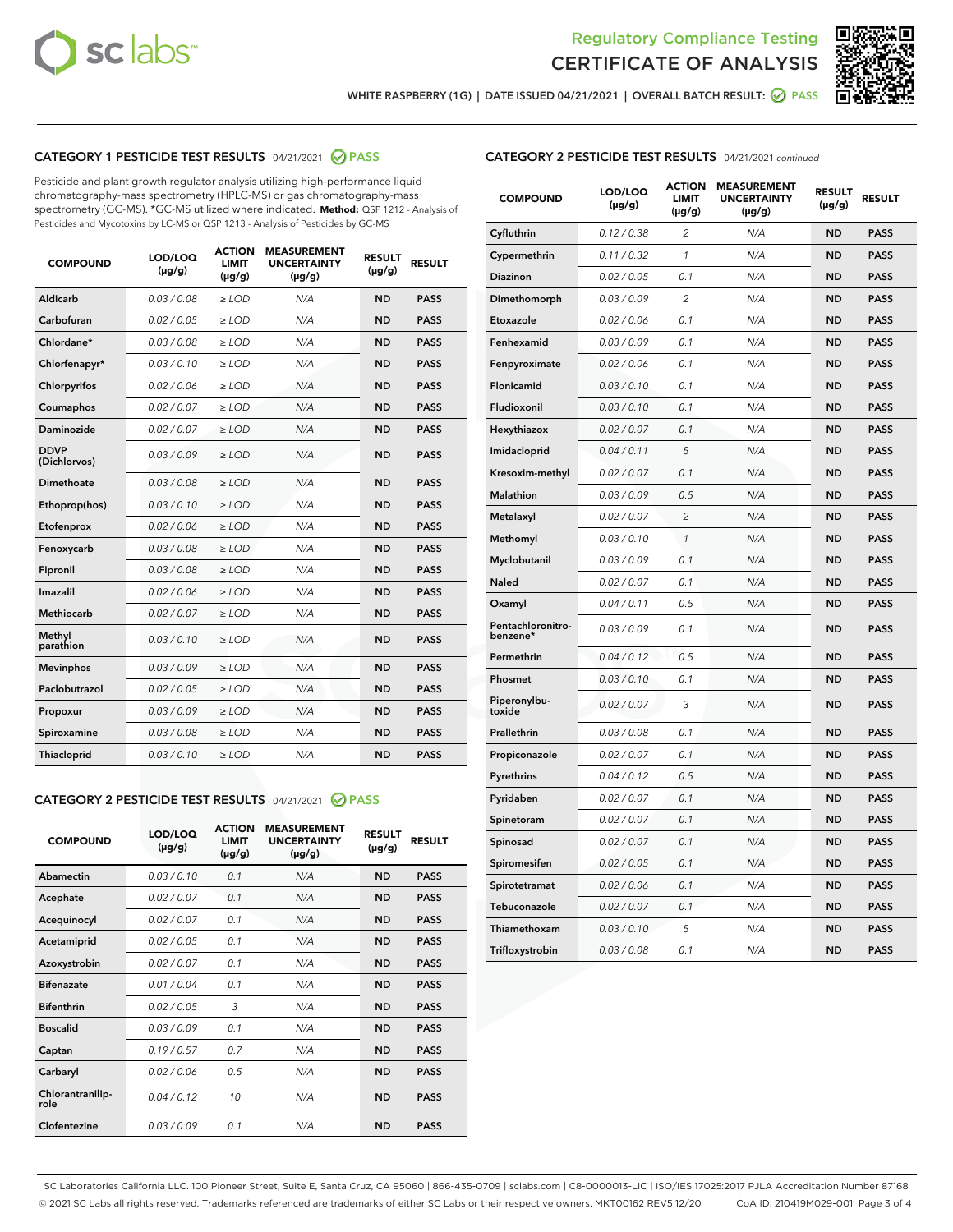



WHITE RASPBERRY (1G) | DATE ISSUED 04/21/2021 | OVERALL BATCH RESULT: @ PASS

#### CATEGORY 1 PESTICIDE TEST RESULTS - 04/21/2021 @ PASS

Pesticide and plant growth regulator analysis utilizing high-performance liquid chromatography-mass spectrometry (HPLC-MS) or gas chromatography-mass spectrometry (GC-MS). \*GC-MS utilized where indicated. **Method:** QSP 1212 - Analysis of Pesticides and Mycotoxins by LC-MS or QSP 1213 - Analysis of Pesticides by GC-MS

| <b>COMPOUND</b>             | LOD/LOQ<br>$(\mu g/g)$ | <b>ACTION</b><br><b>LIMIT</b><br>$(\mu g/g)$ | <b>MEASUREMENT</b><br><b>UNCERTAINTY</b><br>$(\mu g/g)$ | <b>RESULT</b><br>$(\mu g/g)$ | <b>RESULT</b> |
|-----------------------------|------------------------|----------------------------------------------|---------------------------------------------------------|------------------------------|---------------|
| Aldicarb                    | 0.03 / 0.08            | $\geq$ LOD                                   | N/A                                                     | <b>ND</b>                    | <b>PASS</b>   |
| Carbofuran                  | 0.02/0.05              | $\ge$ LOD                                    | N/A                                                     | <b>ND</b>                    | <b>PASS</b>   |
| Chlordane*                  | 0.03 / 0.08            | $\ge$ LOD                                    | N/A                                                     | <b>ND</b>                    | <b>PASS</b>   |
| Chlorfenapyr*               | 0.03/0.10              | $\ge$ LOD                                    | N/A                                                     | <b>ND</b>                    | <b>PASS</b>   |
| Chlorpyrifos                | 0.02 / 0.06            | $\ge$ LOD                                    | N/A                                                     | <b>ND</b>                    | <b>PASS</b>   |
| Coumaphos                   | 0.02 / 0.07            | $\ge$ LOD                                    | N/A                                                     | <b>ND</b>                    | <b>PASS</b>   |
| Daminozide                  | 0.02 / 0.07            | $\ge$ LOD                                    | N/A                                                     | <b>ND</b>                    | <b>PASS</b>   |
| <b>DDVP</b><br>(Dichlorvos) | 0.03/0.09              | $\ge$ LOD                                    | N/A                                                     | <b>ND</b>                    | <b>PASS</b>   |
| Dimethoate                  | 0.03 / 0.08            | $\ge$ LOD                                    | N/A                                                     | <b>ND</b>                    | <b>PASS</b>   |
| Ethoprop(hos)               | 0.03/0.10              | $\ge$ LOD                                    | N/A                                                     | <b>ND</b>                    | <b>PASS</b>   |
| Etofenprox                  | 0.02/0.06              | $\ge$ LOD                                    | N/A                                                     | <b>ND</b>                    | <b>PASS</b>   |
| Fenoxycarb                  | 0.03/0.08              | $\ge$ LOD                                    | N/A                                                     | <b>ND</b>                    | <b>PASS</b>   |
| Fipronil                    | 0.03/0.08              | $\ge$ LOD                                    | N/A                                                     | <b>ND</b>                    | <b>PASS</b>   |
| Imazalil                    | 0.02 / 0.06            | $\ge$ LOD                                    | N/A                                                     | <b>ND</b>                    | <b>PASS</b>   |
| <b>Methiocarb</b>           | 0.02 / 0.07            | $\ge$ LOD                                    | N/A                                                     | <b>ND</b>                    | <b>PASS</b>   |
| Methyl<br>parathion         | 0.03/0.10              | $\ge$ LOD                                    | N/A                                                     | <b>ND</b>                    | <b>PASS</b>   |
| <b>Mevinphos</b>            | 0.03/0.09              | $\ge$ LOD                                    | N/A                                                     | <b>ND</b>                    | <b>PASS</b>   |
| Paclobutrazol               | 0.02 / 0.05            | $\ge$ LOD                                    | N/A                                                     | <b>ND</b>                    | <b>PASS</b>   |
| Propoxur                    | 0.03/0.09              | $\ge$ LOD                                    | N/A                                                     | <b>ND</b>                    | <b>PASS</b>   |
| Spiroxamine                 | 0.03 / 0.08            | $\ge$ LOD                                    | N/A                                                     | <b>ND</b>                    | <b>PASS</b>   |
| <b>Thiacloprid</b>          | 0.03/0.10              | $\ge$ LOD                                    | N/A                                                     | <b>ND</b>                    | <b>PASS</b>   |
|                             |                        |                                              |                                                         |                              |               |

#### CATEGORY 2 PESTICIDE TEST RESULTS - 04/21/2021 @ PASS

| <b>COMPOUND</b>          | LOD/LOO<br>$(\mu g/g)$ | <b>ACTION</b><br>LIMIT<br>$(\mu g/g)$ | <b>MEASUREMENT</b><br><b>UNCERTAINTY</b><br>$(\mu g/g)$ | <b>RESULT</b><br>$(\mu g/g)$ | <b>RESULT</b> |  |
|--------------------------|------------------------|---------------------------------------|---------------------------------------------------------|------------------------------|---------------|--|
| Abamectin                | 0.03/0.10              | 0.1                                   | N/A                                                     | <b>ND</b>                    | <b>PASS</b>   |  |
| Acephate                 | 0.02/0.07              | 0.1                                   | N/A                                                     | <b>ND</b>                    | <b>PASS</b>   |  |
| Acequinocyl              | 0.02/0.07              | 0.1                                   | N/A                                                     | <b>ND</b>                    | <b>PASS</b>   |  |
| Acetamiprid              | 0.02/0.05              | 0.1                                   | N/A                                                     | <b>ND</b>                    | <b>PASS</b>   |  |
| Azoxystrobin             | 0.02/0.07              | 0.1                                   | N/A                                                     | <b>ND</b>                    | <b>PASS</b>   |  |
| <b>Bifenazate</b>        | 0.01/0.04              | 0.1                                   | N/A                                                     | <b>ND</b>                    | <b>PASS</b>   |  |
| <b>Bifenthrin</b>        | 0.02/0.05              | 3                                     | N/A                                                     | <b>ND</b>                    | <b>PASS</b>   |  |
| <b>Boscalid</b>          | 0.03/0.09              | 0.1                                   | N/A                                                     | <b>ND</b>                    | <b>PASS</b>   |  |
| Captan                   | 0.19/0.57              | 0.7                                   | N/A                                                     | <b>ND</b>                    | <b>PASS</b>   |  |
| Carbaryl                 | 0.02/0.06              | 0.5                                   | N/A                                                     | <b>ND</b>                    | <b>PASS</b>   |  |
| Chlorantranilip-<br>role | 0.04/0.12              | 10                                    | N/A                                                     | <b>ND</b>                    | <b>PASS</b>   |  |
| Clofentezine             | 0.03/0.09              | 0.1                                   | N/A                                                     | <b>ND</b>                    | <b>PASS</b>   |  |

#### CATEGORY 2 PESTICIDE TEST RESULTS - 04/21/2021 continued

| <b>COMPOUND</b>               | LOD/LOQ<br>(µg/g) | <b>ACTION</b><br><b>LIMIT</b><br>(µg/g) | <b>MEASUREMENT</b><br><b>UNCERTAINTY</b><br>(µg/g) | <b>RESULT</b><br>(µg/g) | <b>RESULT</b> |
|-------------------------------|-------------------|-----------------------------------------|----------------------------------------------------|-------------------------|---------------|
| Cyfluthrin                    | 0.12 / 0.38       | $\overline{c}$                          | N/A                                                | <b>ND</b>               | <b>PASS</b>   |
| Cypermethrin                  | 0.11/0.32         | 1                                       | N/A                                                | <b>ND</b>               | <b>PASS</b>   |
| <b>Diazinon</b>               | 0.02 / 0.05       | 0.1                                     | N/A                                                | <b>ND</b>               | <b>PASS</b>   |
| Dimethomorph                  | 0.03 / 0.09       | 2                                       | N/A                                                | <b>ND</b>               | <b>PASS</b>   |
| Etoxazole                     | 0.02 / 0.06       | 0.1                                     | N/A                                                | <b>ND</b>               | <b>PASS</b>   |
| Fenhexamid                    | 0.03 / 0.09       | 0.1                                     | N/A                                                | <b>ND</b>               | <b>PASS</b>   |
| Fenpyroximate                 | 0.02 / 0.06       | 0.1                                     | N/A                                                | <b>ND</b>               | <b>PASS</b>   |
| Flonicamid                    | 0.03/0.10         | 0.1                                     | N/A                                                | <b>ND</b>               | <b>PASS</b>   |
| Fludioxonil                   | 0.03 / 0.10       | 0.1                                     | N/A                                                | <b>ND</b>               | <b>PASS</b>   |
| Hexythiazox                   | 0.02 / 0.07       | 0.1                                     | N/A                                                | <b>ND</b>               | <b>PASS</b>   |
| Imidacloprid                  | 0.04 / 0.11       | 5                                       | N/A                                                | <b>ND</b>               | <b>PASS</b>   |
| Kresoxim-methyl               | 0.02 / 0.07       | 0.1                                     | N/A                                                | <b>ND</b>               | <b>PASS</b>   |
| <b>Malathion</b>              | 0.03 / 0.09       | 0.5                                     | N/A                                                | <b>ND</b>               | <b>PASS</b>   |
| Metalaxyl                     | 0.02 / 0.07       | $\overline{c}$                          | N/A                                                | <b>ND</b>               | <b>PASS</b>   |
| Methomyl                      | 0.03 / 0.10       | 1                                       | N/A                                                | <b>ND</b>               | <b>PASS</b>   |
| Myclobutanil                  | 0.03 / 0.09       | 0.1                                     | N/A                                                | <b>ND</b>               | <b>PASS</b>   |
| Naled                         | 0.02 / 0.07       | 0.1                                     | N/A                                                | <b>ND</b>               | <b>PASS</b>   |
| Oxamyl                        | 0.04 / 0.11       | 0.5                                     | N/A                                                | <b>ND</b>               | <b>PASS</b>   |
| Pentachloronitro-<br>benzene* | 0.03 / 0.09       | 0.1                                     | N/A                                                | <b>ND</b>               | <b>PASS</b>   |
| Permethrin                    | 0.04 / 0.12       | 0.5                                     | N/A                                                | <b>ND</b>               | <b>PASS</b>   |
| Phosmet                       | 0.03 / 0.10       | 0.1                                     | N/A                                                | <b>ND</b>               | <b>PASS</b>   |
| Piperonylbu-<br>toxide        | 0.02 / 0.07       | 3                                       | N/A                                                | <b>ND</b>               | <b>PASS</b>   |
| Prallethrin                   | 0.03 / 0.08       | 0.1                                     | N/A                                                | <b>ND</b>               | <b>PASS</b>   |
| Propiconazole                 | 0.02 / 0.07       | 0.1                                     | N/A                                                | <b>ND</b>               | <b>PASS</b>   |
| Pyrethrins                    | 0.04 / 0.12       | 0.5                                     | N/A                                                | ND                      | <b>PASS</b>   |
| Pyridaben                     | 0.02 / 0.07       | 0.1                                     | N/A                                                | <b>ND</b>               | <b>PASS</b>   |
| Spinetoram                    | 0.02 / 0.07       | 0.1                                     | N/A                                                | <b>ND</b>               | <b>PASS</b>   |
| Spinosad                      | 0.02 / 0.07       | 0.1                                     | N/A                                                | <b>ND</b>               | <b>PASS</b>   |
| Spiromesifen                  | 0.02 / 0.05       | 0.1                                     | N/A                                                | <b>ND</b>               | <b>PASS</b>   |
| Spirotetramat                 | 0.02 / 0.06       | 0.1                                     | N/A                                                | <b>ND</b>               | <b>PASS</b>   |
| Tebuconazole                  | 0.02 / 0.07       | 0.1                                     | N/A                                                | <b>ND</b>               | <b>PASS</b>   |
| Thiamethoxam                  | 0.03 / 0.10       | 5                                       | N/A                                                | <b>ND</b>               | <b>PASS</b>   |
| Trifloxystrobin               | 0.03 / 0.08       | 0.1                                     | N/A                                                | <b>ND</b>               | <b>PASS</b>   |

SC Laboratories California LLC. 100 Pioneer Street, Suite E, Santa Cruz, CA 95060 | 866-435-0709 | sclabs.com | C8-0000013-LIC | ISO/IES 17025:2017 PJLA Accreditation Number 87168 © 2021 SC Labs all rights reserved. Trademarks referenced are trademarks of either SC Labs or their respective owners. MKT00162 REV5 12/20 CoA ID: 210419M029-001 Page 3 of 4